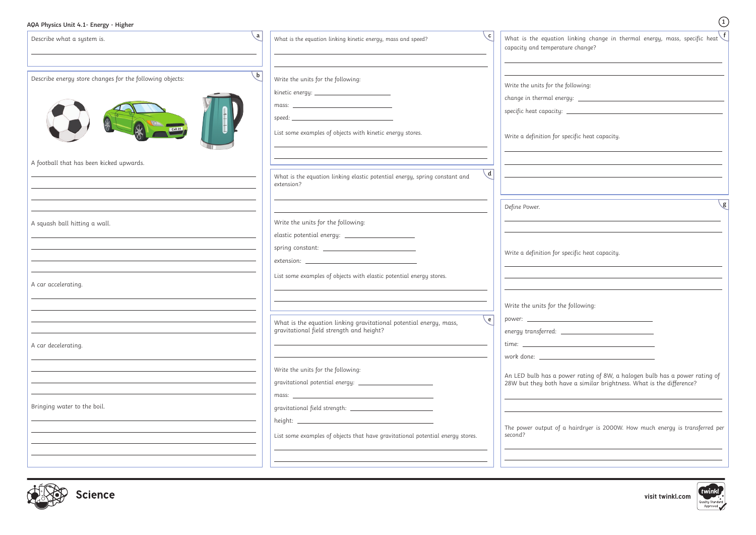

| AQA Physics Unit 4.1- Energy - Higher                    |              |                                                                                                          |                                                                                                                           |
|----------------------------------------------------------|--------------|----------------------------------------------------------------------------------------------------------|---------------------------------------------------------------------------------------------------------------------------|
| Describe what a system is.                               | $\mathbf{a}$ | $\mathbf{c}$<br>What is the equation linking kinetic energy, mass and speed?                             | What is the equation linking change in thermal energy, mass, specific heat $\bigg\{f$<br>capacity and temperature change? |
| Describe energy store changes for the following objects: | . b          | Write the units for the following:                                                                       | Write the units for the following:                                                                                        |
|                                                          |              | kinetic energy: __________________________                                                               |                                                                                                                           |
|                                                          |              |                                                                                                          |                                                                                                                           |
|                                                          |              | List some examples of objects with kinetic energy stores.                                                | Write a definition for specific heat capacity.                                                                            |
| A football that has been kicked upwards.                 |              |                                                                                                          |                                                                                                                           |
|                                                          |              | $\mathsf{d}$<br>What is the equation linking elastic potential energy, spring constant and<br>extension? |                                                                                                                           |
|                                                          |              |                                                                                                          | g<br>Define Power.                                                                                                        |
| A squash ball hitting a wall.                            |              | Write the units for the following:                                                                       |                                                                                                                           |
|                                                          |              | elastic potential energy: _____________________                                                          |                                                                                                                           |
|                                                          |              |                                                                                                          | Write a definition for specific heat capacity.                                                                            |
|                                                          |              |                                                                                                          |                                                                                                                           |
| A car accelerating.                                      |              | List some examples of objects with elastic potential energy stores.                                      |                                                                                                                           |
|                                                          |              |                                                                                                          |                                                                                                                           |
|                                                          |              |                                                                                                          | Write the units for the following:                                                                                        |
|                                                          |              | e <br>What is the equation linking gravitational potential energy, mass,                                 |                                                                                                                           |
|                                                          |              | gravitational field strength and height?                                                                 |                                                                                                                           |
| A car decelerating.                                      |              |                                                                                                          | $time: _______$                                                                                                           |
|                                                          |              |                                                                                                          |                                                                                                                           |
|                                                          |              | Write the units for the following:                                                                       | An LED bulb has a power rating of 8W, a halogen bulb has a power rating of                                                |
|                                                          |              |                                                                                                          | 28W but they both have a similar brightness. What is the difference?                                                      |
| Bringing water to the boil.                              |              |                                                                                                          |                                                                                                                           |
|                                                          |              |                                                                                                          |                                                                                                                           |
|                                                          |              | List some examples of objects that have gravitational potential energy stores.                           | The power output of a hairdryer is 2000W. How much energy is transferred per<br>second?                                   |
|                                                          |              |                                                                                                          |                                                                                                                           |
|                                                          |              |                                                                                                          |                                                                                                                           |

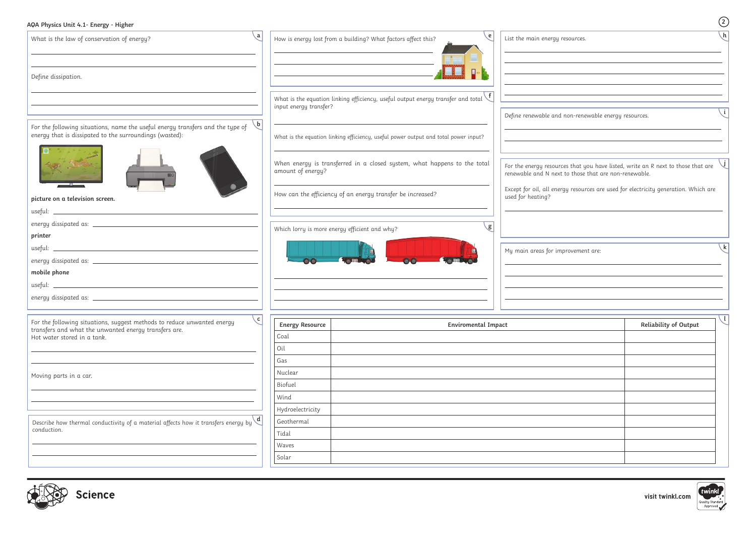

| AQA Physics Unit 4.1- Energy - Higher                                                                                                                        |                                        |                                                                                         | $\circled{2}$                                                                                                                                                                                                                    |
|--------------------------------------------------------------------------------------------------------------------------------------------------------------|----------------------------------------|-----------------------------------------------------------------------------------------|----------------------------------------------------------------------------------------------------------------------------------------------------------------------------------------------------------------------------------|
| $\mathbf{a}$<br>What is the law of conservation of energy?                                                                                                   |                                        | 、e  <br>How is energy lost from a building? What factors affect this?                   | $\mathcal{h}$<br>List the main energy resources.                                                                                                                                                                                 |
| Define dissipation.                                                                                                                                          |                                        |                                                                                         | <u> 1989 - Johann Stoff, Amerikaansk politiker (* 1908)</u>                                                                                                                                                                      |
|                                                                                                                                                              | input energy transfer?                 | What is the equation linking efficiency, useful output energy transfer and total $\vee$ |                                                                                                                                                                                                                                  |
| $\setminus$ b  <br>For the following situations, name the useful energy transfers and the type of<br>energy that is dissipated to the surroundings (wasted): |                                        | What is the equation linking efficiency, useful power output and total power input?     | Define renewable and non-renewable energy resources.                                                                                                                                                                             |
|                                                                                                                                                              | amount of energy?                      | When energy is transferred in a closed system, what happens to the total                | For the energy resources that you have listed, write an R next to those that are<br>renewable and N next to those that are non-renewable.<br>Except for oil, all energy resources are used for electricity generation. Which are |
| picture on a television screen.                                                                                                                              |                                        | How can the efficiency of an energy transfer be increased?                              | used for heating?                                                                                                                                                                                                                |
|                                                                                                                                                              |                                        |                                                                                         |                                                                                                                                                                                                                                  |
|                                                                                                                                                              |                                        | g<br>Which lorry is more energy efficient and why?                                      |                                                                                                                                                                                                                                  |
| printer                                                                                                                                                      |                                        |                                                                                         |                                                                                                                                                                                                                                  |
|                                                                                                                                                              |                                        |                                                                                         | k<br>My main areas for improvement are:                                                                                                                                                                                          |
|                                                                                                                                                              |                                        |                                                                                         |                                                                                                                                                                                                                                  |
| mobile phone                                                                                                                                                 |                                        |                                                                                         |                                                                                                                                                                                                                                  |
|                                                                                                                                                              |                                        |                                                                                         |                                                                                                                                                                                                                                  |
| energy dissipated as:                                                                                                                                        |                                        |                                                                                         |                                                                                                                                                                                                                                  |
| For the following situations, suggest methods to reduce unwanted energy<br>transfers and what the unwanted energy transfers are.                             | $\mathbf{C}$<br><b>Energy Resource</b> | <b>Enviromental Impact</b>                                                              |                                                                                                                                                                                                                                  |
| Hot water stored in a tank.                                                                                                                                  | Coal                                   |                                                                                         |                                                                                                                                                                                                                                  |
|                                                                                                                                                              | Oil                                    |                                                                                         |                                                                                                                                                                                                                                  |
|                                                                                                                                                              | Gas                                    |                                                                                         |                                                                                                                                                                                                                                  |
| Moving parts in a car.                                                                                                                                       | Nuclear                                |                                                                                         |                                                                                                                                                                                                                                  |
|                                                                                                                                                              | Biofuel                                |                                                                                         |                                                                                                                                                                                                                                  |
|                                                                                                                                                              | Wind                                   |                                                                                         |                                                                                                                                                                                                                                  |
|                                                                                                                                                              | Hydroelectricity                       |                                                                                         |                                                                                                                                                                                                                                  |
| Describe how thermal conductivity of a material affects how it transfers energy by $\backslash d$<br>conduction.                                             | Geothermal                             |                                                                                         |                                                                                                                                                                                                                                  |
|                                                                                                                                                              | Tidal                                  |                                                                                         |                                                                                                                                                                                                                                  |
|                                                                                                                                                              | Waves                                  |                                                                                         |                                                                                                                                                                                                                                  |
|                                                                                                                                                              | Solar                                  |                                                                                         |                                                                                                                                                                                                                                  |
|                                                                                                                                                              |                                        |                                                                                         |                                                                                                                                                                                                                                  |

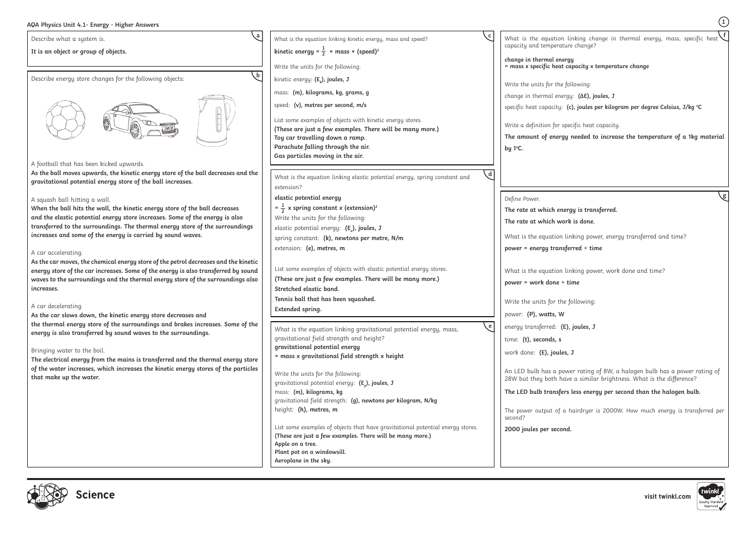. linking change in thermal energy, mass, specific heat  $\overline{\phantom{a}}$ ture change? l**ergy = mass x specific heat capacity x temperature change** following: ergy: (ΔE), joules, J specific heat capacity: **(c), joules per kilogram per degree Celsius, J/kg <sup>o</sup> C** specific heat capacity. **f 1**

| $\psi$ $\cap$ in $\psi$ sites onto $\pi$ . Encreased in equal $\eta$ is $\psi$                                                                                                                                                                                                                                                                            |                                                                                                                                                                                                                                               |                                                                                                              |  |
|-----------------------------------------------------------------------------------------------------------------------------------------------------------------------------------------------------------------------------------------------------------------------------------------------------------------------------------------------------------|-----------------------------------------------------------------------------------------------------------------------------------------------------------------------------------------------------------------------------------------------|--------------------------------------------------------------------------------------------------------------|--|
| a<br>Describe what a system is.                                                                                                                                                                                                                                                                                                                           | С<br>What is the equation linking kinetic energy, mass and speed?                                                                                                                                                                             | What is the equation lin                                                                                     |  |
| It is an object or group of objects.                                                                                                                                                                                                                                                                                                                      | kinetic energy = $\frac{1}{2}$ × mass × (speed) <sup>2</sup>                                                                                                                                                                                  | capacity and temperature                                                                                     |  |
|                                                                                                                                                                                                                                                                                                                                                           | Write the units for the following:                                                                                                                                                                                                            | change in thermal energy<br>= mass x specific heat cap                                                       |  |
| $\mathbf{b}$<br>Describe energy store changes for the following objects:                                                                                                                                                                                                                                                                                  | kinetic energy: $(E_{\nu})$ , joules, J                                                                                                                                                                                                       |                                                                                                              |  |
|                                                                                                                                                                                                                                                                                                                                                           | mass: (m), kilograms, kg, grams, g                                                                                                                                                                                                            | Write the units for the follo                                                                                |  |
|                                                                                                                                                                                                                                                                                                                                                           | speed: (v), metres per second, m/s                                                                                                                                                                                                            | change in thermal energy:                                                                                    |  |
|                                                                                                                                                                                                                                                                                                                                                           | List some examples of objects with kinetic energy stores.<br>(These are just a few examples. There will be many more.)<br>Toy car travelling down a ramp.<br>Parachute falling through the air.<br>Gas particles moving in the air.           | specific heat capacity: (c),<br>Write a definition for speci<br>The amount of energy no<br>by $1^{\circ}$ C. |  |
| A football that has been kicked upwards.                                                                                                                                                                                                                                                                                                                  |                                                                                                                                                                                                                                               |                                                                                                              |  |
| As the ball moves upwards, the kinetic energy store of the ball decreases and the<br>gravitational potential energy store of the ball increases.                                                                                                                                                                                                          | What is the equation linking elastic potential energy, spring constant and<br>extension?                                                                                                                                                      |                                                                                                              |  |
| A squash ball hitting a wall.                                                                                                                                                                                                                                                                                                                             | elastic potential energy                                                                                                                                                                                                                      | Define Power.                                                                                                |  |
| When the ball hits the wall, the kinetic energy store of the ball decreases                                                                                                                                                                                                                                                                               | $=\frac{1}{2}$ x spring constant x (extension) <sup>2</sup>                                                                                                                                                                                   | The rate at which energy                                                                                     |  |
| and the elastic potential energy store increases. Some of the energy is also                                                                                                                                                                                                                                                                              | Write the units for the following:                                                                                                                                                                                                            | The rate at which work i                                                                                     |  |
| transferred to the surroundings. The thermal energy store of the surroundings<br>increases and some of the energy is carried by sound waves.                                                                                                                                                                                                              | elastic potential energy: (E2), joules, J                                                                                                                                                                                                     |                                                                                                              |  |
|                                                                                                                                                                                                                                                                                                                                                           | spring constant: (k), newtons per metre, N/m                                                                                                                                                                                                  | What is the equation link                                                                                    |  |
| A car accelerating.                                                                                                                                                                                                                                                                                                                                       | extension: (e), metres, m                                                                                                                                                                                                                     | power = energy transferr                                                                                     |  |
| As the car moves, the chemical energy store of the petrol decreases and the kinetic<br>energy store of the car increases. Some of the energy is also transferred by sound<br>waves to the surroundings and the thermal energy store of the surroundings also<br>increases.                                                                                | List some examples of objects with elastic potential energy stores.<br>(These are just a few examples. There will be many more.)<br>Stretched elastic band.                                                                                   | What is the equation link<br>power = work done ÷ tim                                                         |  |
|                                                                                                                                                                                                                                                                                                                                                           | Tennis ball that has been squashed.                                                                                                                                                                                                           | Write the units for the fol                                                                                  |  |
| A car decelerating.<br>As the car slows down, the kinetic energy store decreases and                                                                                                                                                                                                                                                                      | Extended spring.                                                                                                                                                                                                                              | power: (P), watts, W                                                                                         |  |
| the thermal energy store of the surroundings and brakes increases. Some of the<br>energy is also transferred by sound waves to the surroundings.<br>Bringing water to the boil.<br>The electrical energy from the mains is transferred and the thermal energy store<br>of the water increases, which increases the kinetic energy stores of the particles | e<br>What is the equation linking gravitational potential energy, mass,<br>gravitational field strength and height?<br>gravitational potential energy<br>= mass x gravitational field strength x height<br>Write the units for the following: | energy transferred: (E), jo<br>time: (t), seconds, s<br>work done: (E), joules, J<br>An LED bulb has a power |  |
| that make up the water.                                                                                                                                                                                                                                                                                                                                   | gravitational potential energy: $(E_{n})$ , joules, J                                                                                                                                                                                         | 28W but they both have                                                                                       |  |
|                                                                                                                                                                                                                                                                                                                                                           | mass: (m), kilograms, kg                                                                                                                                                                                                                      | The LED bulb transfers le                                                                                    |  |
|                                                                                                                                                                                                                                                                                                                                                           | gravitational field strength: (g), newtons per kilogram, N/kg<br>height: (h), metres, m                                                                                                                                                       | The power output of a ha<br>second?                                                                          |  |
|                                                                                                                                                                                                                                                                                                                                                           | List some examples of objects that have gravitational potential energy stores.<br>(These are just a few examples. There will be many more.)                                                                                                   | 2000 joules per second.                                                                                      |  |

**The amount of energy needed to increase the temperature of a 1kg material** 

**Apple on a tree.**

**Plant pot on a windowsill. Aeroplane in the sky.**

**The rate at which energy is transferred.**

vork is done.

linking power, energy transferred and time?

**p** *ferred* ÷ time

linking power, work done and time?

**power = work done ÷ time**

re following:

(E), joules, J

hower rating of 8W, a halogen bulb has a power rating of have a similar brightness. What is the difference?

**The LED bulb transfers less energy per second than the halogen bulb.**

a hairdryer is 2000W. How much energy is transferred per



**g**